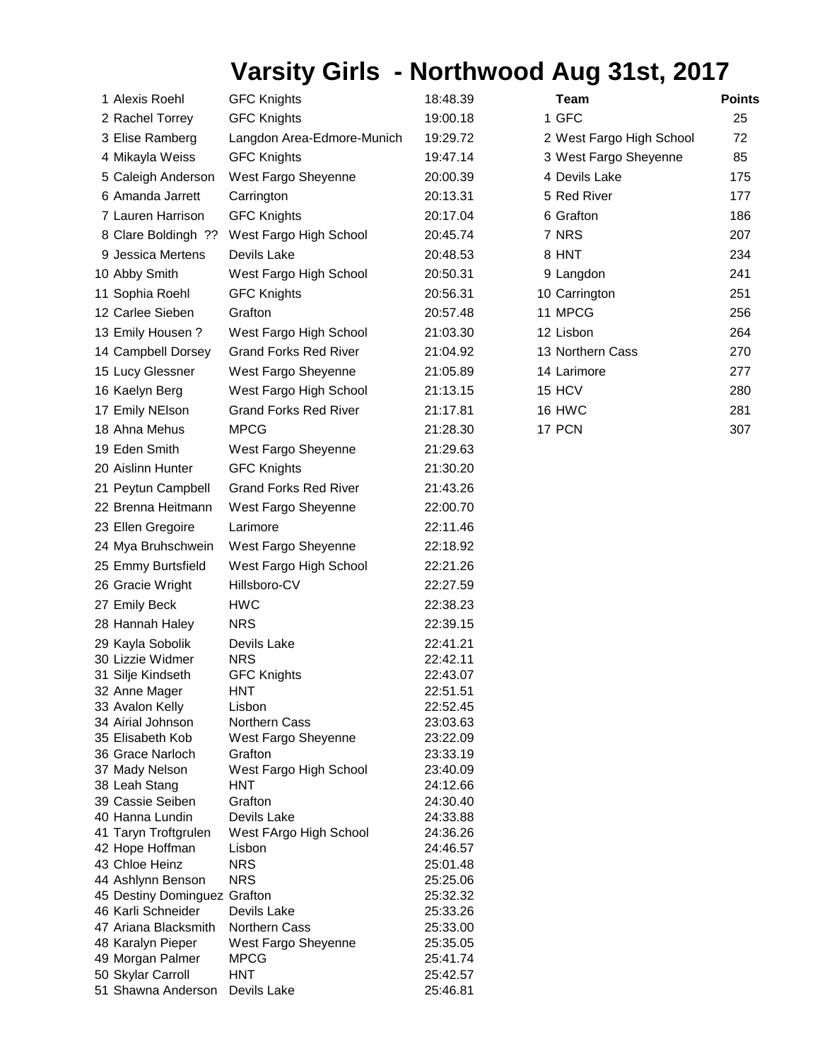## **Varsity Girls - Northwood Aug 31st, 2017**

| 1 Alexis Roehl                          | <b>GFC Knights</b>           | 18:48.39             | Team                     | <b>Points</b> |
|-----------------------------------------|------------------------------|----------------------|--------------------------|---------------|
| 2 Rachel Torrey                         | <b>GFC Knights</b>           | 19:00.18             | 1 GFC                    | 25            |
| 3 Elise Ramberg                         | Langdon Area-Edmore-Munich   | 19:29.72             | 2 West Fargo High School | 72            |
| 4 Mikayla Weiss                         | <b>GFC Knights</b>           | 19:47.14             | 3 West Fargo Sheyenne    | 85            |
| 5 Caleigh Anderson                      | West Fargo Sheyenne          | 20:00.39             | 4 Devils Lake            | 175           |
|                                         |                              |                      | 5 Red River              |               |
| 6 Amanda Jarrett                        | Carrington                   | 20:13.31             |                          | 177           |
| 7 Lauren Harrison                       | <b>GFC Knights</b>           | 20:17.04             | 6 Grafton                | 186           |
| 8 Clare Boldingh ??                     | West Fargo High School       | 20:45.74             | 7 NRS                    | 207           |
| 9 Jessica Mertens                       | Devils Lake                  | 20:48.53             | 8 HNT                    | 234           |
| 10 Abby Smith                           | West Fargo High School       | 20:50.31             | 9 Langdon                | 241           |
| 11 Sophia Roehl                         | <b>GFC Knights</b>           | 20:56.31             | 10 Carrington            | 251           |
| 12 Carlee Sieben                        | Grafton                      | 20:57.48             | 11 MPCG                  | 256           |
| 13 Emily Housen?                        | West Fargo High School       | 21:03.30             | 12 Lisbon                | 264           |
| 14 Campbell Dorsey                      | <b>Grand Forks Red River</b> | 21:04.92             | 13 Northern Cass         | 270           |
| 15 Lucy Glessner                        | West Fargo Sheyenne          | 21:05.89             | 14 Larimore              | 277           |
| 16 Kaelyn Berg                          | West Fargo High School       | 21:13.15             | 15 HCV                   | 280           |
|                                         | <b>Grand Forks Red River</b> |                      | 16 HWC                   | 281           |
| 17 Emily NEIson                         |                              | 21:17.81             |                          |               |
| 18 Ahna Mehus                           | <b>MPCG</b>                  | 21:28.30             | 17 PCN                   | 307           |
| 19 Eden Smith                           | West Fargo Sheyenne          | 21:29.63             |                          |               |
| 20 Aislinn Hunter                       | <b>GFC Knights</b>           | 21:30.20             |                          |               |
| 21 Peytun Campbell                      | <b>Grand Forks Red River</b> | 21:43.26             |                          |               |
| 22 Brenna Heitmann                      | West Fargo Sheyenne          | 22:00.70             |                          |               |
| 23 Ellen Gregoire                       | Larimore                     | 22:11.46             |                          |               |
| 24 Mya Bruhschwein                      | West Fargo Sheyenne          | 22:18.92             |                          |               |
| 25 Emmy Burtsfield                      | West Fargo High School       | 22:21.26             |                          |               |
| 26 Gracie Wright                        | Hillsboro-CV                 | 22:27.59             |                          |               |
| 27 Emily Beck                           | <b>HWC</b>                   | 22:38.23             |                          |               |
|                                         | <b>NRS</b>                   |                      |                          |               |
| 28 Hannah Haley                         |                              | 22:39.15             |                          |               |
| 29 Kayla Sobolik<br>30 Lizzie Widmer    | Devils Lake<br><b>NRS</b>    | 22:41.21<br>22:42.11 |                          |               |
| 31 Silje Kindseth                       | <b>GFC Knights</b>           | 22:43.07             |                          |               |
| 32 Anne Mager                           | <b>HNT</b>                   | 22:51.51             |                          |               |
| 33 Avalon Kelly                         | Lisbon                       | 22:52.45             |                          |               |
| 34 Airial Johnson                       | Northern Cass                | 23:03.63             |                          |               |
| 35 Elisabeth Kob                        | West Fargo Sheyenne          | 23:22.09             |                          |               |
| 36 Grace Narloch                        | Grafton                      | 23:33.19             |                          |               |
| 37 Mady Nelson                          | West Fargo High School       | 23:40.09             |                          |               |
| 38 Leah Stang                           | <b>HNT</b>                   | 24:12.66             |                          |               |
| 39 Cassie Seiben<br>40 Hanna Lundin     | Grafton<br>Devils Lake       | 24:30.40             |                          |               |
| 41 Taryn Troftgrulen                    | West FArgo High School       | 24:33.88<br>24:36.26 |                          |               |
| 42 Hope Hoffman                         | Lisbon                       | 24:46.57             |                          |               |
| 43 Chloe Heinz                          | <b>NRS</b>                   | 25:01.48             |                          |               |
| 44 Ashlynn Benson                       | <b>NRS</b>                   | 25:25.06             |                          |               |
| 45 Destiny Dominguez Grafton            |                              | 25:32.32             |                          |               |
| 46 Karli Schneider                      | Devils Lake                  | 25:33.26             |                          |               |
| 47 Ariana Blacksmith                    | <b>Northern Cass</b>         | 25:33.00             |                          |               |
| 48 Karalyn Pieper                       | West Fargo Sheyenne          | 25:35.05             |                          |               |
| 49 Morgan Palmer                        | <b>MPCG</b>                  | 25:41.74             |                          |               |
| 50 Skylar Carroll<br>51 Shawna Anderson | <b>HNT</b><br>Devils Lake    | 25:42.57<br>25:46.81 |                          |               |
|                                         |                              |                      |                          |               |